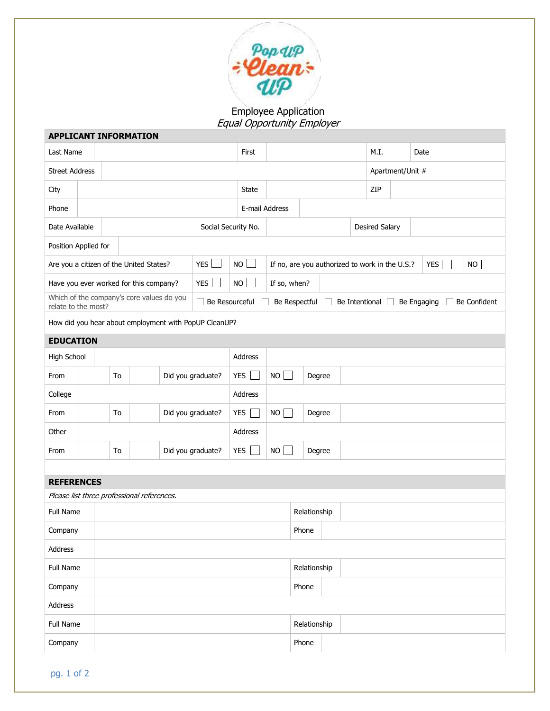

## Employee Application Equal Opportunity Employer

| <b>APPLICANT INFORMATION</b>                                     |  |                         |                                            |    |                   |                                                                                  |                       |                                                              |                  |  |      |    |      |  |  |  |
|------------------------------------------------------------------|--|-------------------------|--------------------------------------------|----|-------------------|----------------------------------------------------------------------------------|-----------------------|--------------------------------------------------------------|------------------|--|------|----|------|--|--|--|
| Last Name                                                        |  |                         |                                            |    |                   |                                                                                  | First                 |                                                              |                  |  | M.I. |    | Date |  |  |  |
| <b>Street Address</b>                                            |  |                         |                                            |    |                   |                                                                                  |                       |                                                              | Apartment/Unit # |  |      |    |      |  |  |  |
| City                                                             |  |                         |                                            |    |                   |                                                                                  | <b>State</b>          |                                                              |                  |  | ZIP  |    |      |  |  |  |
| Phone                                                            |  |                         |                                            |    |                   | E-mail Address                                                                   |                       |                                                              |                  |  |      |    |      |  |  |  |
| Date Available                                                   |  |                         | Social Security No.                        |    |                   |                                                                                  | <b>Desired Salary</b> |                                                              |                  |  |      |    |      |  |  |  |
| Position Applied for                                             |  |                         |                                            |    |                   |                                                                                  |                       |                                                              |                  |  |      |    |      |  |  |  |
| <b>YES</b><br>Are you a citizen of the United States?            |  |                         |                                            |    | <b>NO</b>         |                                                                                  |                       | If no, are you authorized to work in the U.S.?<br><b>YES</b> |                  |  |      | NO |      |  |  |  |
| Have you ever worked for this company?                           |  |                         | YES                                        | NO |                   | If so, when?                                                                     |                       |                                                              |                  |  |      |    |      |  |  |  |
| Which of the company's core values do you<br>relate to the most? |  |                         |                                            |    |                   | Be Resourceful<br>Be Respectful<br>Be Intentional<br>Be Engaging<br>Be Confident |                       |                                                              |                  |  |      |    |      |  |  |  |
| How did you hear about employment with PopUP CleanUP?            |  |                         |                                            |    |                   |                                                                                  |                       |                                                              |                  |  |      |    |      |  |  |  |
| <b>EDUCATION</b>                                                 |  |                         |                                            |    |                   |                                                                                  |                       |                                                              |                  |  |      |    |      |  |  |  |
| High School                                                      |  |                         |                                            |    |                   | Address                                                                          |                       |                                                              |                  |  |      |    |      |  |  |  |
| From                                                             |  | To                      |                                            |    | Did you graduate? | <b>YES</b>                                                                       |                       | NO                                                           | Degree           |  |      |    |      |  |  |  |
| College                                                          |  |                         |                                            |    |                   | Address                                                                          |                       |                                                              |                  |  |      |    |      |  |  |  |
| From                                                             |  | Did you graduate?<br>To |                                            |    | YES               |                                                                                  | NO<br>Degree          |                                                              |                  |  |      |    |      |  |  |  |
| Other                                                            |  |                         |                                            |    |                   | Address                                                                          |                       |                                                              |                  |  |      |    |      |  |  |  |
| From                                                             |  | Did you graduate?<br>To |                                            |    | <b>YES</b>        |                                                                                  | NO<br>Degree          |                                                              |                  |  |      |    |      |  |  |  |
|                                                                  |  |                         |                                            |    |                   |                                                                                  |                       |                                                              |                  |  |      |    |      |  |  |  |
| <b>REFERENCES</b>                                                |  |                         |                                            |    |                   |                                                                                  |                       |                                                              |                  |  |      |    |      |  |  |  |
|                                                                  |  |                         | Please list three professional references. |    |                   |                                                                                  |                       |                                                              |                  |  |      |    |      |  |  |  |
| Full Name                                                        |  |                         |                                            |    |                   | Relationship                                                                     |                       |                                                              |                  |  |      |    |      |  |  |  |
| Company                                                          |  | Phone                   |                                            |    |                   |                                                                                  |                       |                                                              |                  |  |      |    |      |  |  |  |
| Address                                                          |  |                         |                                            |    |                   |                                                                                  |                       |                                                              |                  |  |      |    |      |  |  |  |
| Full Name                                                        |  | Relationship            |                                            |    |                   |                                                                                  |                       |                                                              |                  |  |      |    |      |  |  |  |
| Company                                                          |  |                         |                                            |    |                   |                                                                                  |                       | Phone                                                        |                  |  |      |    |      |  |  |  |
| Address                                                          |  |                         |                                            |    |                   |                                                                                  |                       |                                                              |                  |  |      |    |      |  |  |  |
| Full Name                                                        |  |                         |                                            |    |                   |                                                                                  |                       | Relationship                                                 |                  |  |      |    |      |  |  |  |
| Company                                                          |  |                         |                                            |    |                   |                                                                                  | Phone                 |                                                              |                  |  |      |    |      |  |  |  |